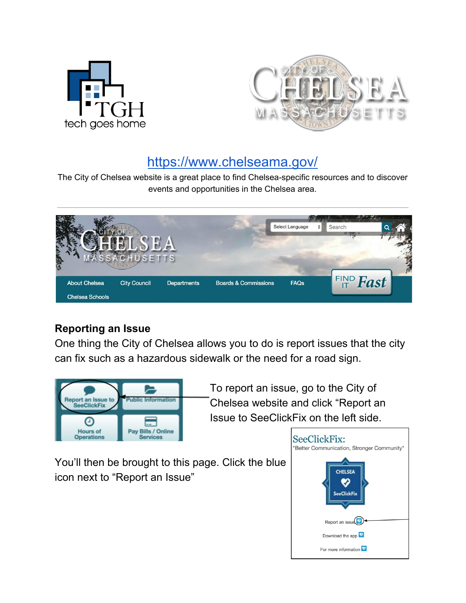



# <https://www.chelseama.gov/>

The City of Chelsea website is a great place to find Chelsea-specific resources and to discover events and opportunities in the Chelsea area.

| 公路                     | -                   |                    |                                 | Select Language<br>٠ | Search              |  |
|------------------------|---------------------|--------------------|---------------------------------|----------------------|---------------------|--|
| <b>About Chelsea</b>   | <b>City Council</b> | <b>Departments</b> | <b>Boards &amp; Commissions</b> | <b>FAQs</b>          | $F_{IT}^{IND}$ Fast |  |
| <b>Chelsea Schools</b> |                     |                    |                                 |                      |                     |  |

## **Reporting an Issue**

One thing the City of Chelsea allows you to do is report issues that the city can fix such as a hazardous sidewalk or the need for a road sign.



To report an issue, go to the City of Chelsea website and click "Report an Issue to SeeClickFix on the left side.

You'll then be brought to this page. Click the blue icon next to "Report an Issue"

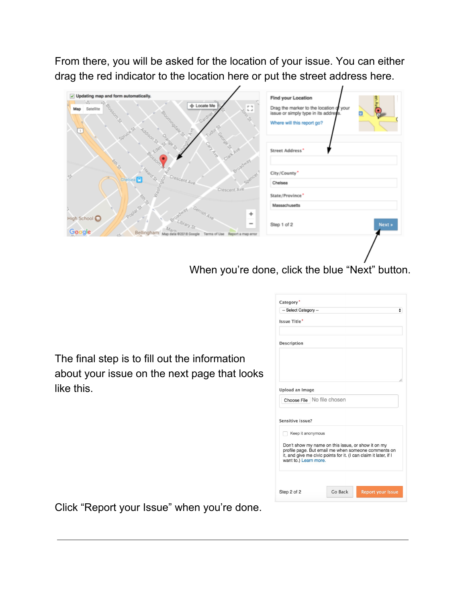From there, you will be asked for the location of your issue. You can either drag the red indicator to the location here or put the street address here.

| Fange St.<br><b>POLON</b><br>S<br>Street Address*<br>$\overline{V}_{L_0}$<br>GRAD<br>Broadway<br>Heard S.<br>City/County'<br>c)<br>Crescent Ave<br>Chelsea <b>F</b><br>$\in \mathbb{R}^N$<br>Chelsea<br>Crescent Ave<br>State/Province'<br><b>ORS</b><br>Massachusetts<br>Poplar St<br>÷<br>High School @<br>Next »<br>$\overline{\phantom{a}}$<br>Step 1 of 2<br>Bellingham<br>Map dat<br>@2018 Google<br>Terms of Use | $\vee$ Updating map and form automatically.<br>$\Omega$<br>수<br>+ Locate Me<br>Blossen St.<br><b>SANTA</b><br>Satellite<br>Map<br>endos<br>Gard<br>ningdale St.<br><b>Jobs</b> St<br>$\omega$<br>E<br>Spir | Find your Location<br>Drag the marker to the location of your<br>8<br>issue or simply type in its address.<br>Θ<br>Where will this report go? |
|-------------------------------------------------------------------------------------------------------------------------------------------------------------------------------------------------------------------------------------------------------------------------------------------------------------------------------------------------------------------------------------------------------------------------|------------------------------------------------------------------------------------------------------------------------------------------------------------------------------------------------------------|-----------------------------------------------------------------------------------------------------------------------------------------------|
|                                                                                                                                                                                                                                                                                                                                                                                                                         |                                                                                                                                                                                                            |                                                                                                                                               |
|                                                                                                                                                                                                                                                                                                                                                                                                                         |                                                                                                                                                                                                            |                                                                                                                                               |
|                                                                                                                                                                                                                                                                                                                                                                                                                         |                                                                                                                                                                                                            |                                                                                                                                               |
|                                                                                                                                                                                                                                                                                                                                                                                                                         | Google<br>Report a map error                                                                                                                                                                               |                                                                                                                                               |

When you're done, click the blue "Next" button.

The final step is to fill out the information about your issue on the next page that looks like this.

| Category <sup>*</sup>                                                                                                   |
|-------------------------------------------------------------------------------------------------------------------------|
| -- Select Category --<br>÷                                                                                              |
| Issue Title*                                                                                                            |
|                                                                                                                         |
| <b>Description</b>                                                                                                      |
|                                                                                                                         |
|                                                                                                                         |
|                                                                                                                         |
|                                                                                                                         |
| Upload an Image                                                                                                         |
| Choose File   No file chosen                                                                                            |
|                                                                                                                         |
| Sensitive issue?                                                                                                        |
| Keep it anonymous                                                                                                       |
|                                                                                                                         |
| Don't show my name on this issue, or show it on my                                                                      |
| profile page. But email me when someone comments on<br>it, and give me civic points for it. (I can claim it later, if I |
| want to.) Learn more.                                                                                                   |
|                                                                                                                         |
|                                                                                                                         |
|                                                                                                                         |
| Go Back<br><b>Report your Issue</b><br>Step 2 of 2                                                                      |

Click "Report your Issue" when you're done.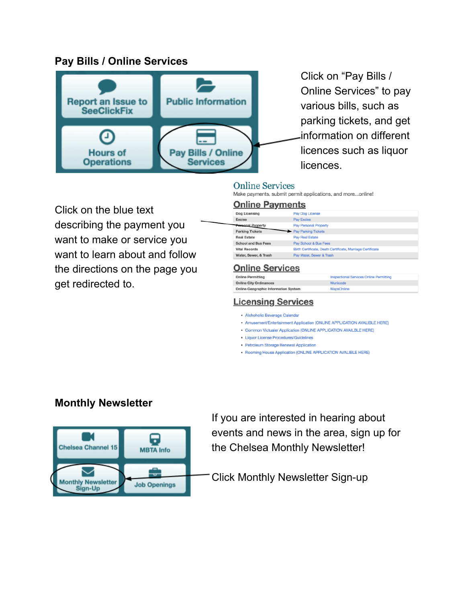## **Pay Bills / Online Services**



Click on "Pay Bills / Online Services" to pay various bills, such as parking tickets, and get information on different licences such as liquor licences.

### **Online Services**

Make payments, submit permit applications, and more...online!

**Online Payments** 

Click on the blue text describing the payment you want to make or service you want to learn about and follow the directions on the page you get redirected to.

#### Dog Licensing Pay Dog License Pay Excise Excise anal Property Pay Personal Property **Parking Tickets** Pay Parking Tickets **Real Estate** Pay Real Estat **School and Bus Fees** Pay School & Bus Fees **Vital Records** Birth Certificate, Death Certificate, Marriage Certificate Water, Sewer, & Trash Pay Water, Sewer & Trash

### **Online Services**

| <b>Online Permitting</b>                    | <b>Inspectional Services Online Permitting</b> |
|---------------------------------------------|------------------------------------------------|
| <b>Online City Ordinances</b>               | Municode                                       |
| <b>Online Geographic Information System</b> | <b>MapsOnline</b>                              |

### **Licensing Services**

· Alchoholic Beverage Calendar

- . Amusement/Entertainment Application (ONLINE APPLICATION AVALIBLE HERE)
- Common Victualer Application (ONLINE APPLICATION AVAILBLE HERE)
- · Liquor License Procedures/Guidelines
- Petroleum Storage Renewal Application
- Rooming House Application (ONLINE APPLICATION AVALIBLE HERE)

## **Monthly Newsletter**



If you are interested in hearing about events and news in the area, sign up for the Chelsea Monthly Newsletter!

Click Monthly Newsletter Sign-up